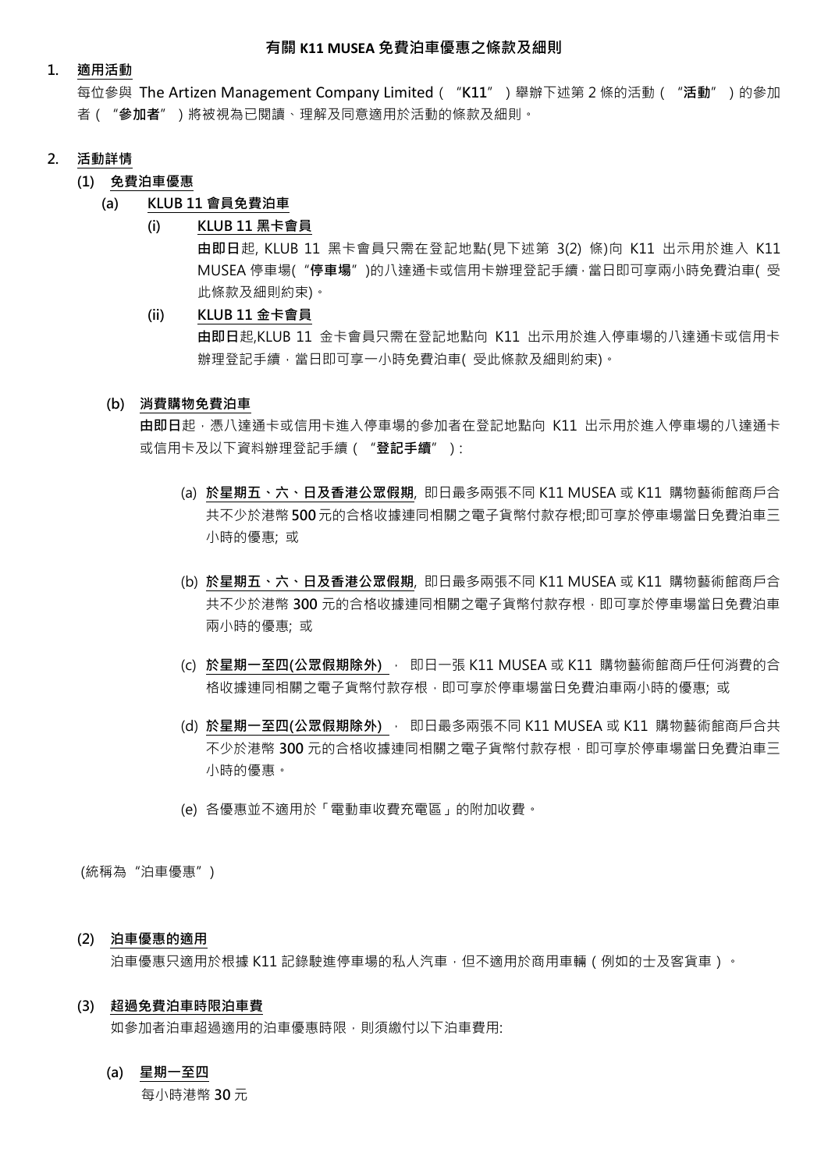# **1. 適用活動**

每位參與 The Artizen Management Company Limited("**K11**")舉辦下述第 2 條的活動("**活動**")的參加 者("**參加者**")將被視為已閱讀、理解及同意適用於活動的條款及細則。

## **2. 活動詳情**

# **(1) 免費泊車優惠**

# **(a) KLUB 11 會員免費泊車**

## **(i) KLUB 11 黑卡會員**

**由即日**起, KLUB 11 黑卡會員只需在登記地點(見下述第 3(2) 條)向 K11 出示用於進入 K11 MUSEA 停車場("**停車場**")的八達通卡或信用卡辦理登記手續,當日即可享兩小時免費泊車( 受 此條款及細則約束)。

## **(ii) KLUB 11 金卡會員**

**由即日**起,KLUB 11 金卡會員只需在登記地點向 K11 出示用於進入停車場的八達通卡或信用卡 辦理登記手續,當日即可享一小時免費泊車(受此條款及細則約束)。

#### **(b) 消費購物免費泊車**

由即日起,憑八達通卡或信用卡進入停車場的參加者在登記地點向 K11 出示用於進入停車場的八達通卡 或信用卡及以下資料辦理登記手續("**登記手續**"):

- (a) **於星期五、六、日及香港公眾假期**, 即日最多兩張不同 K11 MUSEA 或 K11 購物藝術館商戶合 共不少於港幣 **500**元的合格收據連同相關之電子貨幣付款存根;即可享於停車場當日免費泊車三 小時的優惠; 或
- (b) **於星期五、六、日及香港公眾假期**, 即日最多兩張不同 K11 MUSEA 或 K11 購物藝術館商戶合 共不少於港幣 **300** 元的合格收據連同相關之電子貨幣付款存根,即可享於停車場當日免費泊車 兩小時的優惠; 或
- (c) **於星期一至四(公眾假期除外)** , 即日一張 K11 MUSEA 或 K11 購物藝術館商戶任何消費的合 格收據連同相關之電子貨幣付款存根,即可享於停車場當日免費泊車兩小時的優惠; 或
- (d) **於星期一至四(公眾假期除外)** , 即日最多兩張不同 K11 MUSEA 或 K11 購物藝術館商戶合共 不少於港幣 **300** 元的合格收據連同相關之電子貨幣付款存根,即可享於停車場當日免費泊車三 小時的優惠。
- (e) 各優惠並不適用於「電動車收費充電區」的附加收費。

(統稱為"泊車優惠")

#### **(2) 泊車優惠的適用**

泊車優惠只適用於根據 K11 記錄駛進停車場的私人汽車,但不適用於商用車輛 (例如的士及客貨車)。

# **(3) 超過免費泊車時限泊車費**

如參加者泊車超過適用的泊車優惠時限,則須繳付以下泊車費用:

#### **(a) 星期一至四**

每小時港幣 **30** 元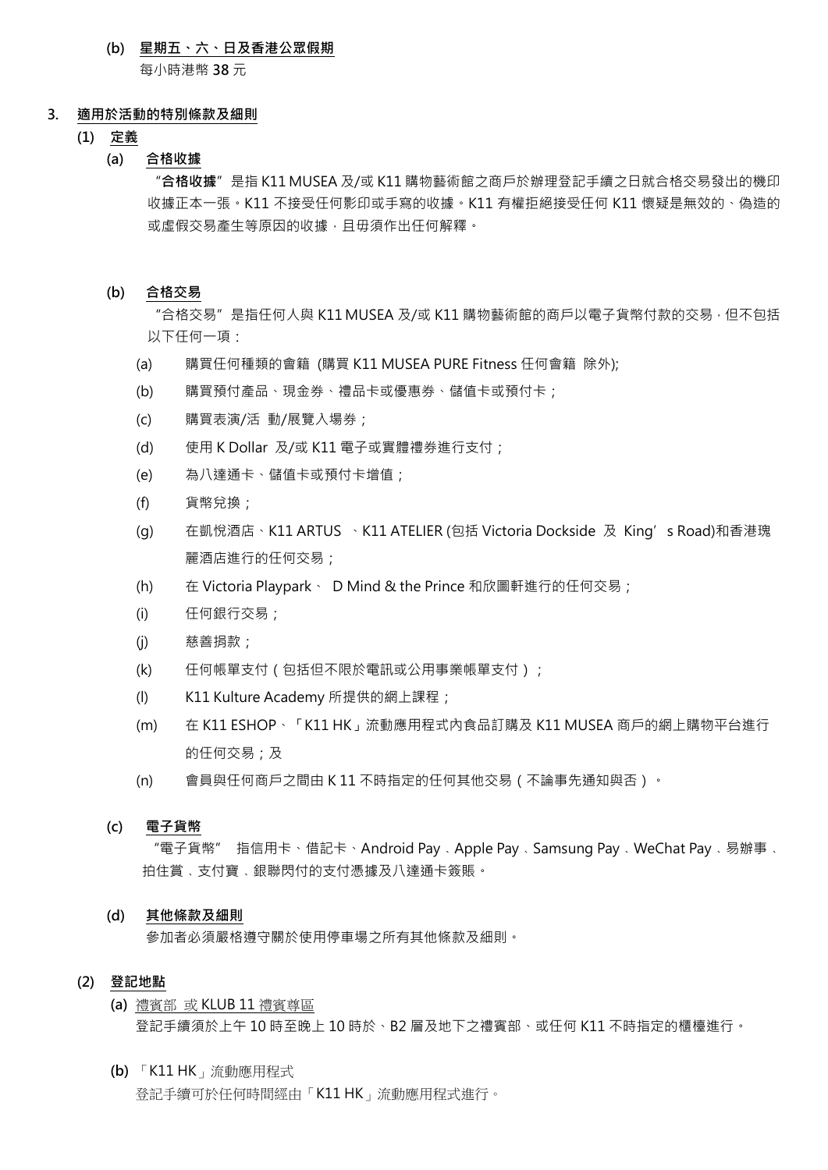# **(b) 星期五、六、日及香港公眾假期**

每小時港幣 **38** 元

#### **3. 適用於活動的特別條款及細則**

- **(1) 定義**
	- **(a) 合格收據**

"**合格收據**"是指 K11 MUSEA 及/或 K11 購物藝術館之商戶於辦理登記手續之日就合格交易發出的機印 收據正本一張。K11 不接受任何影印或手寫的收據。K11 有權拒絕接受任何 K11 懷疑是無效的、偽造的 或虛假交易產生等原因的收據,且毋須作出任何解釋。

**(b) 合格交易**

"合格交易"是指任何人與 K11 MUSEA 及/或 K11 購物藝術館的商戶以雷子貨幣付款的交易, 但不包括 以下任何一項:

- (a) 購買任何種類的會籍 (購買 K11 MUSEA PURE Fitness 任何會籍 除外);
- (b) 購買預付產品、現金券、禮品卡或優惠券、儲值卡或預付卡;
- (c) 購買表演/活 動/展覽入場券;
- (d) 使用 K Dollar 及/或 K11 電子或實體禮券進行支付;
- (e) 為八達通卡、儲值卡或預付卡增值;
- (f) 貨幣兌換;
- (g) 在凱悅酒店、K11 ARTUS 、K11 ATELIER (包括 Victoria Dockside 及 King's Road)和香港瑰 麗酒店進行的任何交易;
- (h) 在 Victoria Playpark、 D Mind & the Prince 和欣圖軒進行的任何交易;
- (i) 任何銀行交易;
- (j) 慈善捐款;
- (k) 任何帳單支付 (包括但不限於電訊或公用事業帳單支付 ) ;
- (l) K11 Kulture Academy 所提供的網上課程;
- (m) 在 K11 ESHOP、「K11 HK」流動應用程式內食品訂購及 K11 MUSEA 商戶的網上購物平台進行 的任何交易;及
- (n) 會員與任何商戶之間由 K 11 不時指定的任何其他交易(不論事先通知與否)。

## **(c) 電子貨幣**

"電子貨幣" 指信用卡、借記卡、Android Pay﹑Apple Pay﹑Samsung Pay﹑WeChat Pay﹑易辦事﹑ 拍住賞﹑支付寶﹑銀聯閃付的支付憑據及八達通卡簽賬。

#### **(d) 其他條款及細則**

參加者必須嚴格遵守關於使用停車場之所有其他條款及細則。

# **(2) 登記地點**

- **(a)** 禮賓部 或 KLUB 11 禮賓尊區 登記手續須於上午 10 時至晚上 10 時於、B2 層及地下之禮賓部、或任何 K11 不時指定的櫃檯進行。
- **(b)** 「K11 HK」流動應用程式 登記手續可於任何時間經由「K11 HK」流動應用程式進行。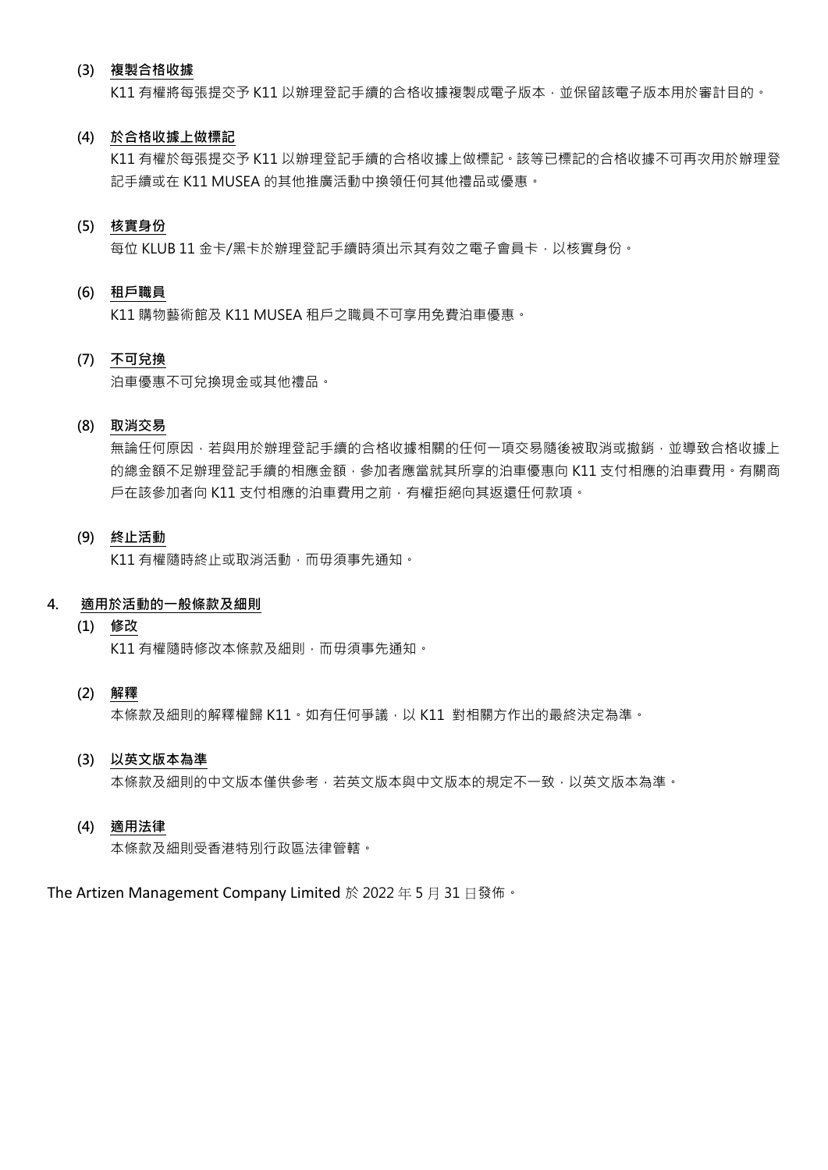# **(3) 複製合格收據**

K11 有權將每張提交予 K11 以辦理登記手續的合格收據複製成電子版本,並保留該電子版本用於審計目的。

### **(4) 於合格收據上做標記**

K11 有權於每張提交予 K11 以辦理登記手續的合格收據上做標記。該等已標記的合格收據不可再次用於辦理登 記手續或在 K11 MUSEA 的其他推廣活動中換領任何其他禮品或優惠。

# **(5) 核實身份**

每位 KLUB 11 金卡/黑卡於辦理登記手續時須出示其有效之電子會員卡,以核實身份。

## **(6) 租戶職員**

K11 購物藝術館及 K11 MUSEA 租戶之職員不可享用免費泊車優惠。

# **(7) 不可兌換**

泊車優惠不可兌換現金或其他禮品。

# **(8) 取消交易**

無論任何原因,若與用於辦理登記手續的合格收據相關的任何一項交易隨後被取消或撤銷,並導致合格收據上 的總金額不足辦理登記手續的相應金額,參加者應當就其所享的泊車優惠向 K11 支付相應的泊車費用。有關商 戶在該參加者向 K11 支付相應的泊車費用之前,有權拒絕向其返還任何款項。

# **(9) 終止活動**

K11 有權隨時終止或取消活動,而毋須事先通知。

# **4. 適用於活動的一般條款及細則**

**(1) 修改**

K11 有權隨時修改本條款及細則,而毋須事先通知。

# **(2) 解釋**

本條款及細則的解釋權歸 K11。如有任何爭議,以 K11 對相關方作出的最終決定為準。

## **(3) 以英文版本為準**

本條款及細則的中文版本僅供參考,若英文版本與中文版本的規定不一致,以英文版本為準。

### **(4) 適用法律**

本條款及細則受香港特別行政區法律管轄。

The Artizen Management Company Limited 於 2022 年 5 月 31 日發佈。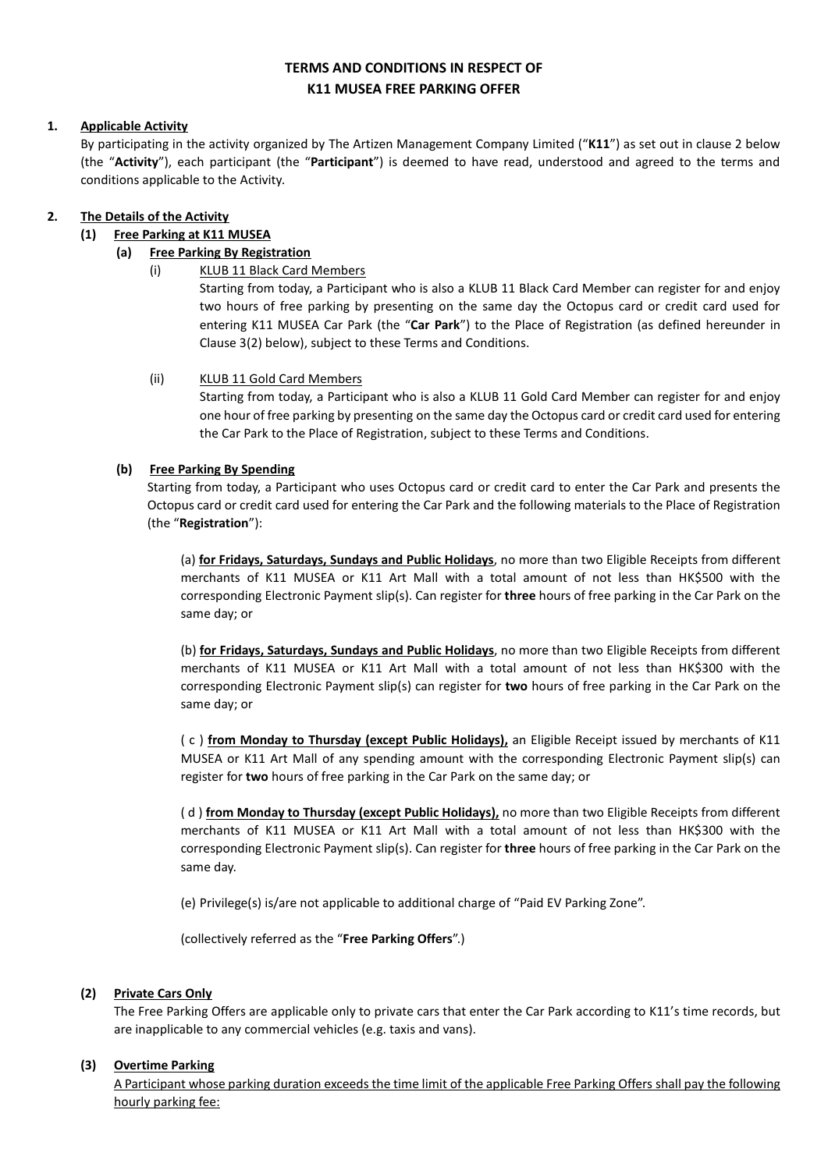# **TERMS AND CONDITIONS IN RESPECT OF K11 MUSEA FREE PARKING OFFER**

# **1. Applicable Activity**

By participating in the activity organized by The Artizen Management Company Limited ("**K11**") as set out in clause 2 below (the "**Activity**"), each participant (the "**Participant**") is deemed to have read, understood and agreed to the terms and conditions applicable to the Activity.

# **2. The Details of the Activity**

# **(1) Free Parking at K11 MUSEA**

# **(a) Free Parking By Registration**

(i) KLUB 11 Black Card Members

Starting from today, a Participant who is also a KLUB 11 Black Card Member can register for and enjoy two hours of free parking by presenting on the same day the Octopus card or credit card used for entering K11 MUSEA Car Park (the "**Car Park**") to the Place of Registration (as defined hereunder in Clause 3(2) below), subject to these Terms and Conditions.

## (ii) KLUB 11 Gold Card Members

Starting from today, a Participant who is also a KLUB 11 Gold Card Member can register for and enjoy one hour of free parking by presenting on the same day the Octopus card or credit card used for entering the Car Park to the Place of Registration, subject to these Terms and Conditions.

# **(b) Free Parking By Spending**

Starting from today, a Participant who uses Octopus card or credit card to enter the Car Park and presents the Octopus card or credit card used for entering the Car Park and the following materials to the Place of Registration (the "**Registration**"):

(a) **for Fridays, Saturdays, Sundays and Public Holidays**, no more than two Eligible Receipts from different merchants of K11 MUSEA or K11 Art Mall with a total amount of not less than HK\$500 with the corresponding Electronic Payment slip(s). Can register for **three** hours of free parking in the Car Park on the same day; or

(b) **for Fridays, Saturdays, Sundays and Public Holidays**, no more than two Eligible Receipts from different merchants of K11 MUSEA or K11 Art Mall with a total amount of not less than HK\$300 with the corresponding Electronic Payment slip(s) can register for **two** hours of free parking in the Car Park on the same day; or

( c ) **from Monday to Thursday (except Public Holidays),** an Eligible Receipt issued by merchants of K11 MUSEA or K11 Art Mall of any spending amount with the corresponding Electronic Payment slip(s) can register for **two** hours of free parking in the Car Park on the same day; or

( d ) **from Monday to Thursday (except Public Holidays),** no more than two Eligible Receipts from different merchants of K11 MUSEA or K11 Art Mall with a total amount of not less than HK\$300 with the corresponding Electronic Payment slip(s). Can register for **three** hours of free parking in the Car Park on the same day.

(e) Privilege(s) is/are not applicable to additional charge of "Paid EV Parking Zone".

(collectively referred as the "**Free Parking Offers**".)

## **(2) Private Cars Only**

The Free Parking Offers are applicable only to private cars that enter the Car Park according to K11's time records, but are inapplicable to any commercial vehicles (e.g. taxis and vans).

## **(3) Overtime Parking**

A Participant whose parking duration exceeds the time limit of the applicable Free Parking Offers shall pay the following hourly parking fee: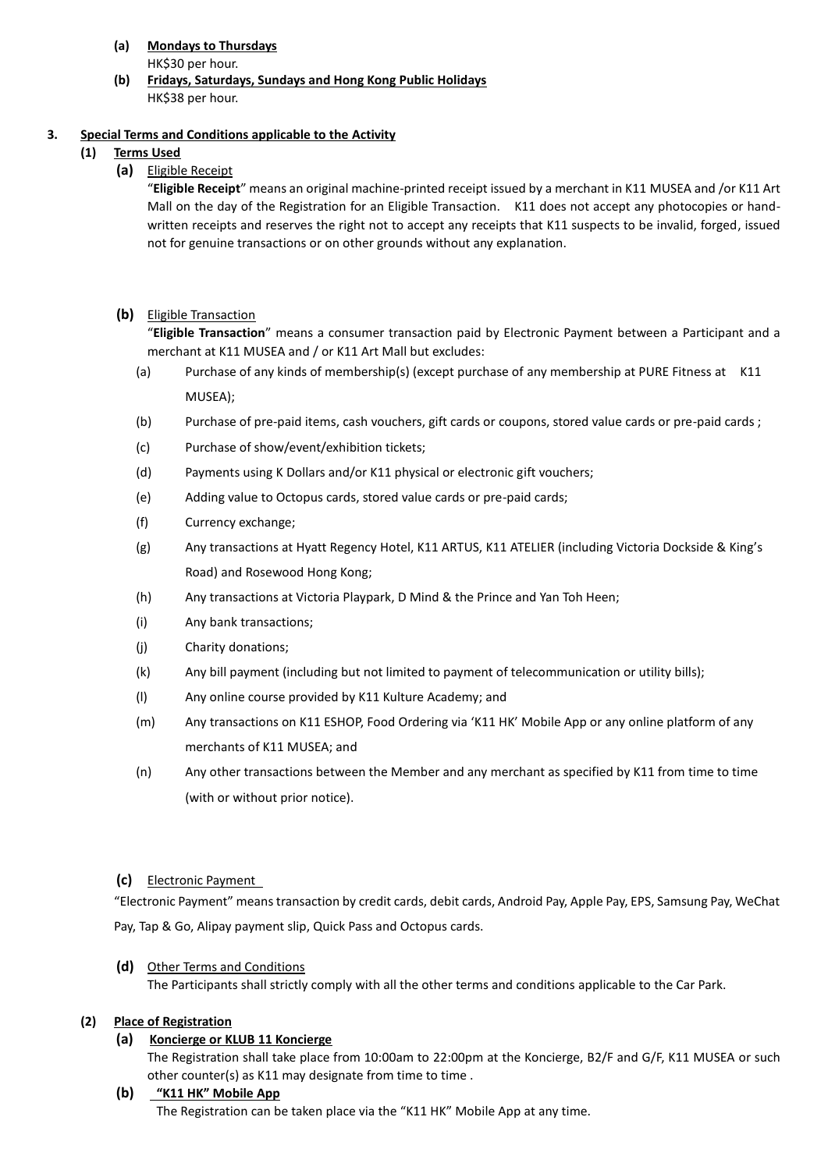**(a) Mondays to Thursdays**

HK\$30 per hour.

**(b) Fridays, Saturdays, Sundays and Hong Kong Public Holidays** HK\$38 per hour.

# **3. Special Terms and Conditions applicable to the Activity**

- **(1) Terms Used**
	- **(a)** Eligible Receipt

"**Eligible Receipt**" means an original machine-printed receipt issued by a merchant in K11 MUSEA and /or K11 Art Mall on the day of the Registration for an Eligible Transaction. K11 does not accept any photocopies or handwritten receipts and reserves the right not to accept any receipts that K11 suspects to be invalid, forged, issued not for genuine transactions or on other grounds without any explanation.

**(b)** Eligible Transaction

"**Eligible Transaction**" means a consumer transaction paid by Electronic Payment between a Participant and a merchant at K11 MUSEA and / or K11 Art Mall but excludes:

- (a) Purchase of any kinds of membership(s) (except purchase of any membership at PURE Fitness at K11 MUSEA);
- (b) Purchase of pre-paid items, cash vouchers, gift cards or coupons, stored value cards or pre-paid cards ;
- (c) Purchase of show/event/exhibition tickets;
- (d) Payments using K Dollars and/or K11 physical or electronic gift vouchers;
- (e) Adding value to Octopus cards, stored value cards or pre-paid cards;
- (f) Currency exchange;
- (g) Any transactions at Hyatt Regency Hotel, K11 ARTUS, K11 ATELIER (including Victoria Dockside & King's Road) and Rosewood Hong Kong;
- (h) Any transactions at Victoria Playpark, D Mind & the Prince and Yan Toh Heen;
- (i) Any bank transactions;
- (j) Charity donations;
- (k) Any bill payment (including but not limited to payment of telecommunication or utility bills);
- (l) Any online course provided by K11 Kulture Academy; and
- (m) Any transactions on K11 ESHOP, Food Ordering via 'K11 HK' Mobile App or any online platform of any merchants of K11 MUSEA; and
- (n) Any other transactions between the Member and any merchant as specified by K11 from time to time (with or without prior notice).

# **(c)** Electronic Payment

"Electronic Payment" means transaction by credit cards, debit cards, Android Pay, Apple Pay, EPS, Samsung Pay, WeChat Pay, Tap & Go, Alipay payment slip, Quick Pass and Octopus cards.

# **(d)** Other Terms and Conditions

The Participants shall strictly comply with all the other terms and conditions applicable to the Car Park.

# **(2) Place of Registration**

# **(a) Koncierge or KLUB 11 Koncierge**

The Registration shall take place from 10:00am to 22:00pm at the Koncierge, B2/F and G/F, K11 MUSEA or such other counter(s) as K11 may designate from time to time .

**(b) "K11 HK" Mobile App**

The Registration can be taken place via the "K11 HK" Mobile App at any time.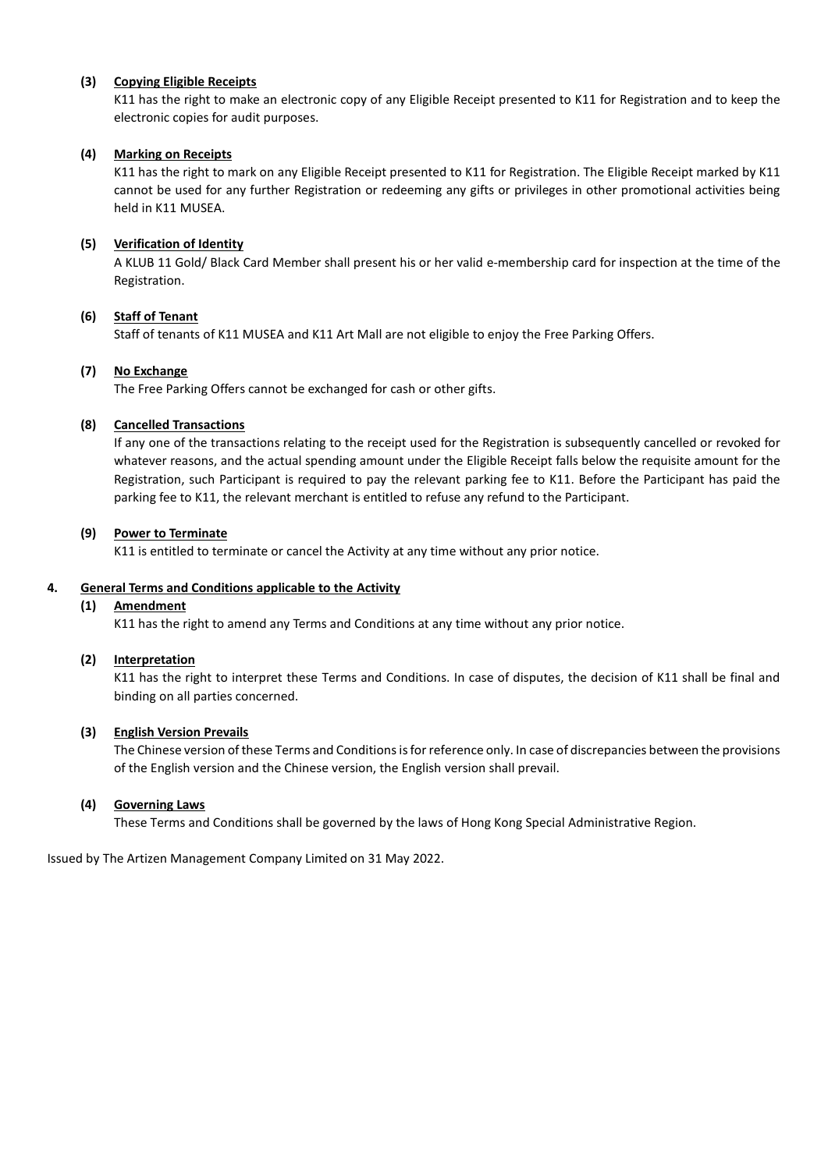# **(3) Copying Eligible Receipts**

K11 has the right to make an electronic copy of any Eligible Receipt presented to K11 for Registration and to keep the electronic copies for audit purposes.

# **(4) Marking on Receipts**

K11 has the right to mark on any Eligible Receipt presented to K11 for Registration. The Eligible Receipt marked by K11 cannot be used for any further Registration or redeeming any gifts or privileges in other promotional activities being held in K11 MUSEA.

# **(5) Verification of Identity**

A KLUB 11 Gold/ Black Card Member shall present his or her valid e-membership card for inspection at the time of the Registration.

# **(6) Staff of Tenant**

Staff of tenants of K11 MUSEA and K11 Art Mall are not eligible to enjoy the Free Parking Offers.

# **(7) No Exchange**

The Free Parking Offers cannot be exchanged for cash or other gifts.

# **(8) Cancelled Transactions**

If any one of the transactions relating to the receipt used for the Registration is subsequently cancelled or revoked for whatever reasons, and the actual spending amount under the Eligible Receipt falls below the requisite amount for the Registration, such Participant is required to pay the relevant parking fee to K11. Before the Participant has paid the parking fee to K11, the relevant merchant is entitled to refuse any refund to the Participant.

# **(9) Power to Terminate**

K11 is entitled to terminate or cancel the Activity at any time without any prior notice.

## **4. General Terms and Conditions applicable to the Activity**

## **(1) Amendment**

K11 has the right to amend any Terms and Conditions at any time without any prior notice.

## **(2) Interpretation**

K11 has the right to interpret these Terms and Conditions. In case of disputes, the decision of K11 shall be final and binding on all parties concerned.

## **(3) English Version Prevails**

The Chinese version of these Terms and Conditions isfor reference only. In case of discrepancies between the provisions of the English version and the Chinese version, the English version shall prevail.

## **(4) Governing Laws**

These Terms and Conditions shall be governed by the laws of Hong Kong Special Administrative Region.

Issued by The Artizen Management Company Limited on 31 May 2022.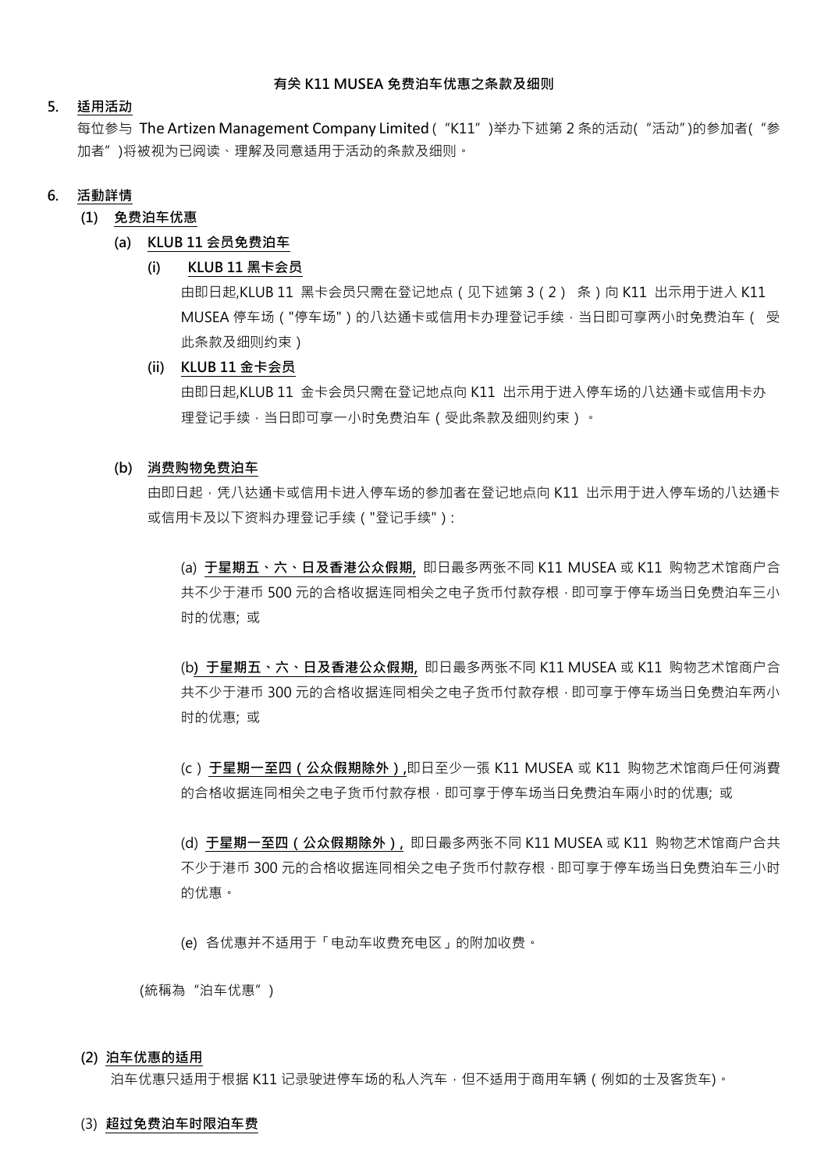# **有关 K11 MUSEA 免费泊车优惠之条款及细则**

# **5. 适用活动**

每位参与 The Artizen Management Company Limited ( "K11" )举办下述第 2 条的活动( "活动")的参加者( "参 加者")将被视为已阅读、理解及同意适用于活动的条款及细则。

## **6. 活動詳情**

## **(1) 免费泊车优惠**

#### **(a) KLUB 11 会员免费泊车**

#### **(i) KLUB 11 黑卡会员**

由即日起,KLUB 11 黑卡会员只需在登记地点 (见下述第 3 ( 2 ) 条 ) 向 K11 出示用于进入 K11 MUSEA 停车场 ("停车场") 的八达通卡或信用卡办理登记手续,当日即可享两小时免费泊车 ( 受 此条款及细则约束)

## **(ii) KLUB 11 金卡会员**

由即日起,KLUB 11 金卡会员只需在登记地点向 K11 出示用于进入停车场的八达通卡或信用卡办 理登记手续,当日即可享一小时免费泊车(受此条款及细则约束)。

#### **(b) 消费购物免费泊车**

由即日起,凭八达通卡或信用卡进入停车场的参加者在登记地点向 K11 出示用于进入停车场的八达通卡 或信用卡及以下资料办理登记手续("登记手续"):

(a) **于星期五、六、日及香港公众假期,** 即日最多两张不同 K11 MUSEA 或 K11 购物艺术馆商户合 共不少于港币 500 元的合格收据连同相关之电子货币付款存根,即可享于停车场当日免费泊车三小 时的优惠; 或

(b**) 于星期五、六、日及香港公众假期,** 即日最多两张不同 K11 MUSEA 或 K11 购物艺术馆商户合 共不少于港币 300 元的合格收据连同相关之电子货币付款存根,即可享于停车场当日免费泊车两小 时的优惠; 或

(c ) **于星期一至四(公众假期除外),**即日至少一張 K11 MUSEA 或 K11 购物艺术馆商戶任何消費 的合格收据连同相关之电子货币付款存根,即可享于停车场当日免费泊车兩小时的优惠; 或

(d) **于星期一至四(公众假期除外),** 即日最多两张不同 K11 MUSEA 或 K11 购物艺术馆商户合共 不少于港币 300 元的合格收据连同相关之电子货币付款存根,即可享于停车场当日免费泊车三小时 的优惠。

(e) 各优惠并不适用于「电动车收费充电区」的附加收费。

(統稱為"泊车优惠")

### **(2) 泊车优惠的适用**

泊车优惠只适用于根据 K11 记录驶进停车场的私人汽车,但不适用于商用车辆(例如的士及客货车)。

#### (3) **超过免费泊车时限泊车费**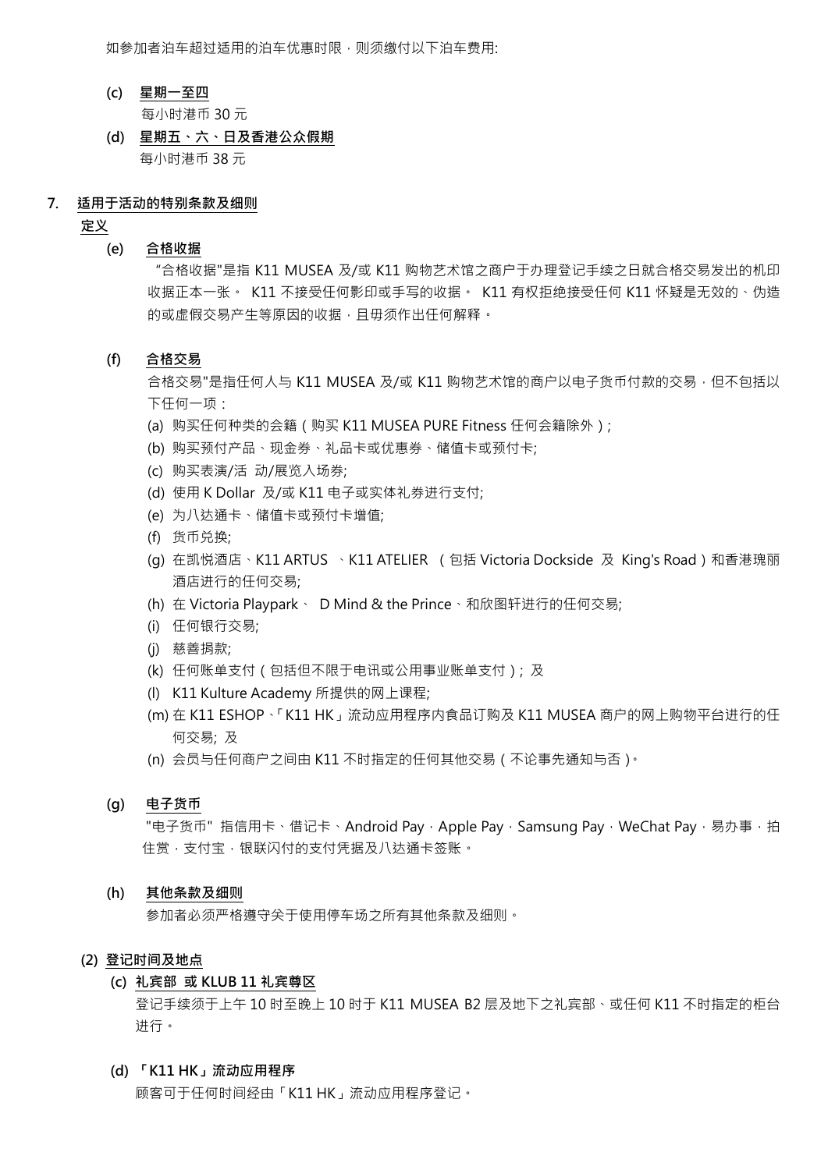如参加者泊车超过适用的泊车优惠时限,则须缴付以下泊车费用;

- **(c) 星期一至四** 每小时港币 30 元
- **(d) 星期五、六、日及香港公众假期** 每小时港币 38 元
- **7. 适用于活动的特别条款及细则**

**定义**

#### **(e) 合格收据**

"合格收据"是指 K11 MUSEA 及/或 K11 购物艺术馆之商户于办理登记手续之日就合格交易发出的机印 收据正本一张。 K11 不接受任何影印或手写的收据。 K11 有权拒绝接受任何 K11 怀疑是无效的、伪造 的或虚假交易产生等原因的收据,且毋须作出任何解释。

# **(f) 合格交易**

合格交易"是指任何人与 K11 MUSEA 及/或 K11 购物艺术馆的商户以电子货币付款的交易,但不包括以 下任何一项:

- (a) 购买任何种类的会籍(购买 K11 MUSEA PURE Fitness 任何会籍除外);
- (b) 购买预付产品、现金券、礼品卡或优惠券、储值卡或预付卡;
- (c) 购买表演/活 动/展览入场券;
- (d) 使用 K Dollar 及/或 K11 电子或实体礼券进行支付;
- (e) 为八达通卡、储值卡或预付卡增值;
- (f) 货币兑换;
- (g) 在凯悦酒店、K11 ARTUS 、K11 ATELIER (包括 Victoria Dockside 及 King's Road)和香港瑰丽 酒店进行的任何交易;
- (h) 在 Victoria Playpark、 D Mind & the Prince、和欣图轩进行的任何交易;
- (i) 任何银行交易;
- (j) 慈善捐款;
- (k) 任何账单支付(包括但不限于电讯或公用事业账单支付); 及
- (l) K11 Kulture Academy 所提供的网上课程;
- (m) 在 K11 ESHOP、「K11 HK」流动应用程序内食品订购及 K11 MUSEA 商户的网上购物平台进行的任 何交易; 及
- (n) 会员与任何商户之间由 K11 不时指定的任何其他交易(不论事先通知与否)。

# **(g) 电子货币**

"电子货币" 指信用卡、借记卡、Android Pay, Apple Pay, Samsung Pay, WeChat Pay, 易办事,拍 住赏,支付宝,银联闪付的支付凭据及八达通卡签账。

#### **(h) 其他条款及细则**

参加者必须严格遵守关于使用停车场之所有其他条款及细则。

#### **(2) 登记时间及地点**

## **(c) 礼宾部 或 KLUB 11 礼宾尊区**

登记手续须于上午 10 时至晚上 10 时于 K11 MUSEA B2 层及地下之礼宾部、或任何 K11 不时指定的柜台 进行。

## **(d) 「K11 HK」流动应用程序**

顾客可于任何时间经由「K11 HK」流动应用程序登记。